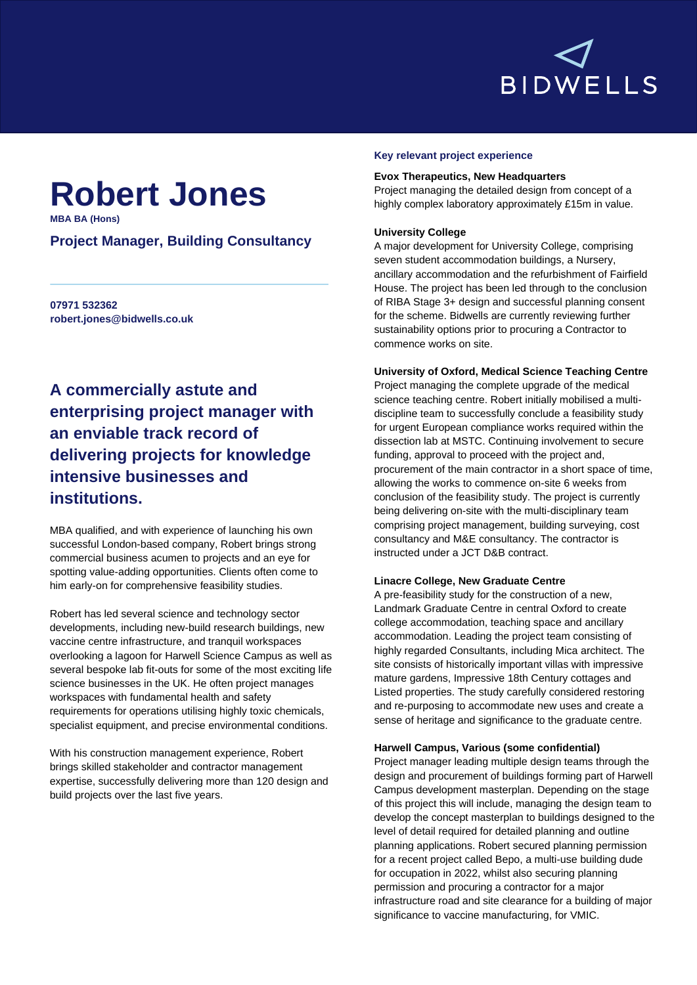

# **Robert Jones**

**MBA BA (Hons)**

### **Project Manager, Building Consultancy**

**07971 532362 robert.jones@bidwells.co.uk**

## **A commercially astute and enterprising project manager with an enviable track record of delivering projects for knowledge intensive businesses and institutions.**

MBA qualified, and with experience of launching his own successful London-based company, Robert brings strong commercial business acumen to projects and an eye for spotting value-adding opportunities. Clients often come to him early-on for comprehensive feasibility studies.

Robert has led several science and technology sector developments, including new-build research buildings, new vaccine centre infrastructure, and tranquil workspaces overlooking a lagoon for Harwell Science Campus as well as several bespoke lab fit-outs for some of the most exciting life science businesses in the UK. He often project manages workspaces with fundamental health and safety requirements for operations utilising highly toxic chemicals, specialist equipment, and precise environmental conditions.

With his construction management experience, Robert brings skilled stakeholder and contractor management expertise, successfully delivering more than 120 design and build projects over the last five years.

#### **Key relevant project experience**

#### **Evox Therapeutics, New Headquarters**

Project managing the detailed design from concept of a highly complex laboratory approximately £15m in value.

#### **University College**

A major development for University College, comprising seven student accommodation buildings, a Nursery, ancillary accommodation and the refurbishment of Fairfield House. The project has been led through to the conclusion of RIBA Stage 3+ design and successful planning consent for the scheme. Bidwells are currently reviewing further sustainability options prior to procuring a Contractor to commence works on site.

#### **University of Oxford, Medical Science Teaching Centre**

Project managing the complete upgrade of the medical science teaching centre. Robert initially mobilised a multidiscipline team to successfully conclude a feasibility study for urgent European compliance works required within the dissection lab at MSTC. Continuing involvement to secure funding, approval to proceed with the project and, procurement of the main contractor in a short space of time, allowing the works to commence on-site 6 weeks from conclusion of the feasibility study. The project is currently being delivering on-site with the multi-disciplinary team comprising project management, building surveying, cost consultancy and M&E consultancy. The contractor is instructed under a JCT D&B contract.

#### **Linacre College, New Graduate Centre**

A pre-feasibility study for the construction of a new, Landmark Graduate Centre in central Oxford to create college accommodation, teaching space and ancillary accommodation. Leading the project team consisting of highly regarded Consultants, including Mica architect. The site consists of historically important villas with impressive mature gardens, Impressive 18th Century cottages and Listed properties. The study carefully considered restoring and re-purposing to accommodate new uses and create a sense of heritage and significance to the graduate centre.

#### **Harwell Campus, Various (some confidential)**

Project manager leading multiple design teams through the design and procurement of buildings forming part of Harwell Campus development masterplan. Depending on the stage of this project this will include, managing the design team to develop the concept masterplan to buildings designed to the level of detail required for detailed planning and outline planning applications. Robert secured planning permission for a recent project called Bepo, a multi-use building dude for occupation in 2022, whilst also securing planning permission and procuring a contractor for a major infrastructure road and site clearance for a building of major significance to vaccine manufacturing, for VMIC.